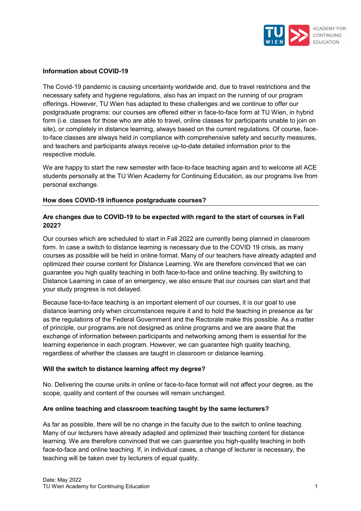

## **Information about COVID-19**

The Covid-19 pandemic is causing uncertainty worldwide and, due to travel restrictions and the necessary safety and hygiene regulations, also has an impact on the running of our program offerings. However, TU Wien has adapted to these challenges and we continue to offer our postgraduate programs: our courses are offered either in face-to-face form at TU Wien, in hybrid form (i.e. classes for those who are able to travel, online classes for participants unable to join on site), or completely in distance learning, always based on the current regulations. Of course, faceto-face classes are always held in compliance with comprehensive safety and security measures, and teachers and participants always receive up-to-date detailed information prior to the respective module.

We are happy to start the new semester with face-to-face teaching again and to welcome all ACE students personally at the TU Wien Academy for Continuing Education, as our programs live from personal exchange.

### **How does COVID-19 influence postgraduate courses?**

# **Are changes due to COVID-19 to be expected with regard to the start of courses in Fall 2022?**

Our courses which are scheduled to start in Fall 2022 are currently being planned in classroom form. In case a switch to distance learning is necessary due to the COVID 19 crisis, as many courses as possible will be held in online format. Many of our teachers have already adapted and optimized their course content for Distance Learning. We are therefore convinced that we can guarantee you high quality teaching in both face-to-face and online teaching. By switching to Distance Learning in case of an emergency, we also ensure that our courses can start and that your study progress is not delayed.

Because face-to-face teaching is an important element of our courses, it is our goal to use distance learning only when circumstances require it and to hold the teaching in presence as far as the regulations of the Federal Government and the Rectorate make this possible. As a matter of principle, our programs are not designed as online programs and we are aware that the exchange of information between participants and networking among them is essential for the learning experience in each program. However, we can guarantee high quality teaching, regardless of whether the classes are taught in classroom or distance learning.

### **Will the switch to distance learning affect my degree?**

No. Delivering the course units in online or face-to-face format will not affect your degree, as the scope, quality and content of the courses will remain unchanged.

### **Are online teaching and classroom teaching taught by the same lecturers?**

As far as possible, there will be no change in the faculty due to the switch to online teaching. Many of our lecturers have already adapted and optimized their teaching content for distance learning. We are therefore convinced that we can guarantee you high-quality teaching in both face-to-face and online teaching. If, in individual cases, a change of lecturer is necessary, the teaching will be taken over by lecturers of equal quality.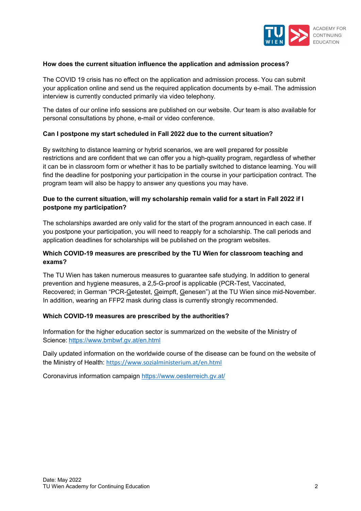

### **How does the current situation influence the application and admission process?**

The COVID 19 crisis has no effect on the application and admission process. You can submit your application online and send us the required application documents by e-mail. The admission interview is currently conducted primarily via video telephony.

The dates of our online info sessions are published on our website. Our team is also available for personal consultations by phone, e-mail or video conference.

## **Can I postpone my start scheduled in Fall 2022 due to the current situation?**

By switching to distance learning or hybrid scenarios, we are well prepared for possible restrictions and are confident that we can offer you a high-quality program, regardless of whether it can be in classroom form or whether it has to be partially switched to distance learning. You will find the deadline for postponing your participation in the course in your participation contract. The program team will also be happy to answer any questions you may have.

# **Due to the current situation, will my scholarship remain valid for a start in Fall 2022 if I postpone my participation?**

The scholarships awarded are only valid for the start of the program announced in each case. If you postpone your participation, you will need to reapply for a scholarship. The call periods and application deadlines for scholarships will be published on the program websites.

# **Which COVID-19 measures are prescribed by the TU Wien for classroom teaching and exams?**

The TU Wien has taken numerous measures to guarantee safe studying. In addition to general prevention and hygiene measures, a 2,5-G-proof is applicable (PCR-Test, Vaccinated, Recovered; in German "PCR-Getestet, Geimpft, Genesen") at the TU Wien since mid-November. In addition, wearing an FFP2 mask during class is currently strongly recommended.

### **Which COVID-19 measures are prescribed by the authorities?**

Information for the higher education sector is summarized on the website of the Ministry of Science: <https://www.bmbwf.gv.at/en.html>

Daily updated information on the worldwide course of the disease can be found on the website of the Ministry of Health: <https://www.sozialministerium.at/en.html>

Coronavirus information campaign<https://www.oesterreich.gv.at/>